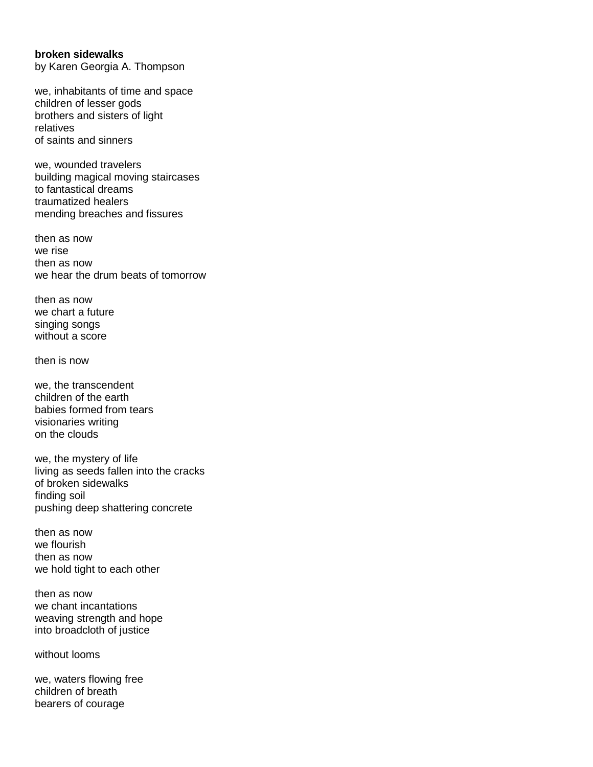## **broken sidewalks**

by Karen Georgia A. Thompson

we, inhabitants of time and space children of lesser gods brothers and sisters of light relatives of saints and sinners

we, wounded travelers building magical moving staircases to fantastical dreams traumatized healers mending breaches and fissures

then as now we rise then as now we hear the drum beats of tomorrow

then as now we chart a future singing songs without a score

then is now

we, the transcendent children of the earth babies formed from tears visionaries writing on the clouds

we, the mystery of life living as seeds fallen into the cracks of broken sidewalks finding soil pushing deep shattering concrete

then as now we flourish then as now we hold tight to each other

then as now we chant incantations weaving strength and hope into broadcloth of justice

without looms

we, waters flowing free children of breath bearers of courage